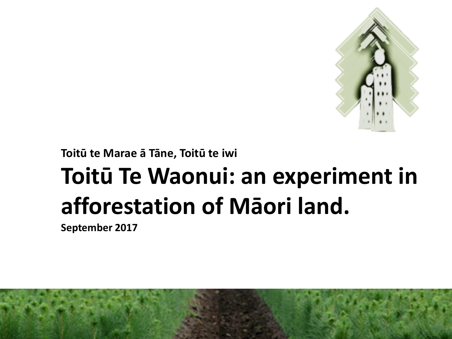

**Toitū te Marae ā Tāne, Toitū te iwi**

### **Toitū Te Waonui: an experiment in afforestation of Māori land.**

**September 2017**

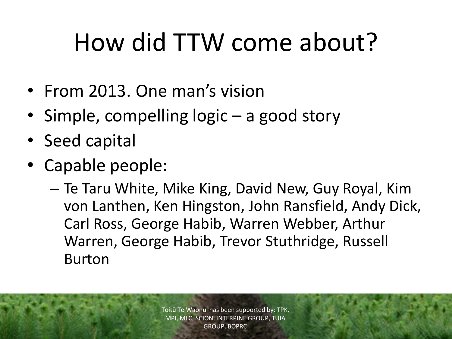# How did TTW come about?

- From 2013. One man's vision
- Simple, compelling logic a good story
- Seed capital
- Capable people:
	- Te Taru White, Mike King, David New, Guy Royal, Kim von Lanthen, Ken Hingston, John Ransfield, Andy Dick, Carl Ross, George Habib, Warren Webber, Arthur Warren, George Habib, Trevor Stuthridge, Russell Burton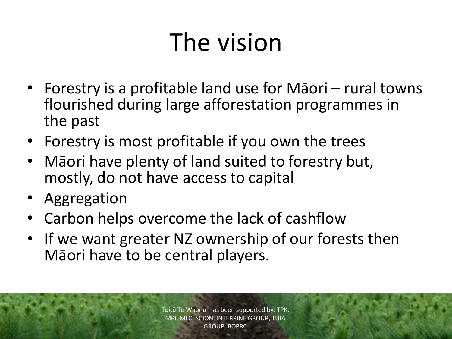# The vision

- Forestry is a profitable land use for Māori rural towns flourished during large afforestation programmes in the past
- Forestry is most profitable if you own the trees
- Māori have plenty of land suited to forestry but, mostly, do not have access to capital
- Aggregation
- Carbon helps overcome the lack of cashflow
- If we want greater NZ ownership of our forests then Māori have to be central players.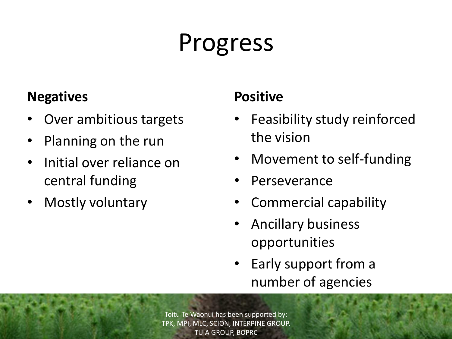## Progress

#### **Negatives**

- Over ambitious targets
- Planning on the run
- Initial over reliance on central funding
- Mostly voluntary

#### **Positive**

- Feasibility study reinforced the vision
- Movement to self-funding
- Perseverance
- Commercial capability
- Ancillary business opportunities
- Early support from a number of agencies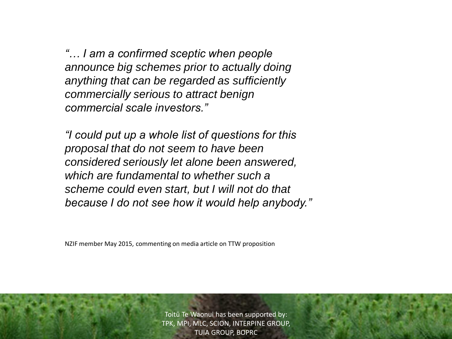*"… I am a confirmed sceptic when people announce big schemes prior to actually doing anything that can be regarded as sufficiently commercially serious to attract benign commercial scale investors."*

*"I could put up a whole list of questions for this proposal that do not seem to have been considered seriously let alone been answered, which are fundamental to whether such a scheme could even start, but I will not do that because I do not see how it would help anybody."*

NZIF member May 2015, commenting on media article on TTW proposition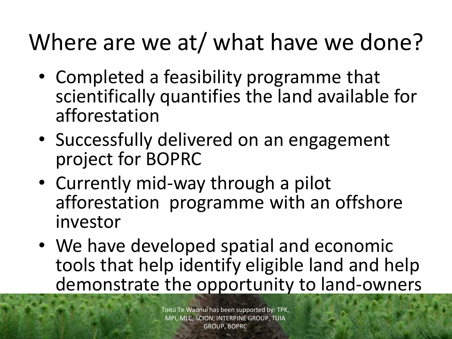### Where are we at/ what have we done?

- Completed a feasibility programme that scientifically quantifies the land available for afforestation
- Successfully delivered on an engagement project for BOPRC
- Currently mid-way through a pilot afforestation programme with an offshore investor
- We have developed spatial and economic tools that help identify eligible land and help demonstrate the opportunity to land-owners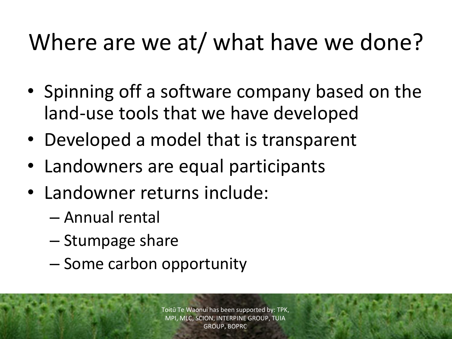### Where are we at/ what have we done?

- Spinning off a software company based on the land-use tools that we have developed
- Developed a model that is transparent
- Landowners are equal participants
- Landowner returns include:
	- Annual rental
	- Stumpage share
	- Some carbon opportunity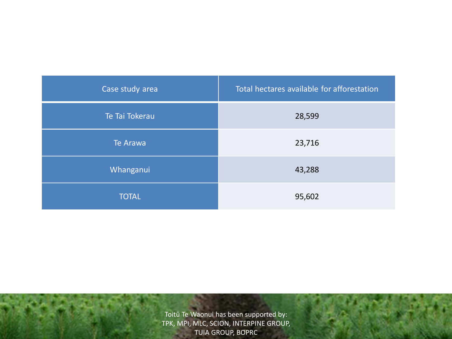| Case study area | Total hectares available for afforestation |
|-----------------|--------------------------------------------|
| Te Tai Tokerau  | 28,599                                     |
| Te Arawa        | 23,716                                     |
| Whanganui       | 43,288                                     |
| <b>TOTAL</b>    | 95,602                                     |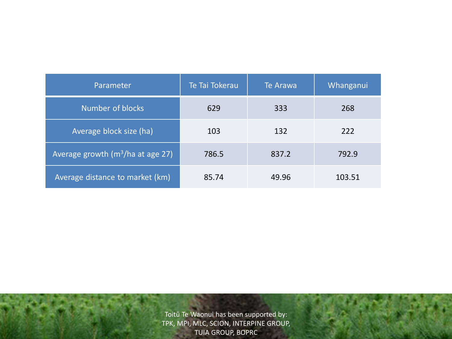| Parameter                           | Te Tai Tokerau | Te Arawa | Whanganui |
|-------------------------------------|----------------|----------|-----------|
| <b>Number of blocks</b>             | 629            | 333      | 268       |
| Average block size (ha)             | 103            | 132      | 222       |
| Average growth $(m^3/ha$ at age 27) | 786.5          | 837.2    | 792.9     |
| Average distance to market (km)     | 85.74          | 49.96    | 103.51    |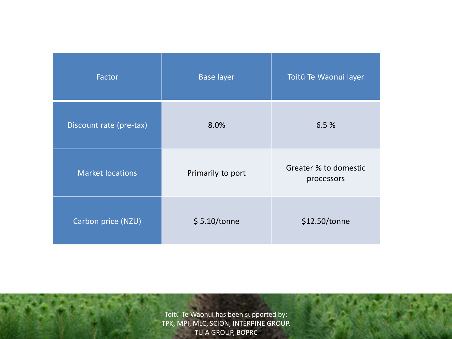| Factor                  | <b>Base layer</b> | Toitū Te Waonui layer               |
|-------------------------|-------------------|-------------------------------------|
| Discount rate (pre-tax) | 8.0%              | 6.5%                                |
| <b>Market locations</b> | Primarily to port | Greater % to domestic<br>processors |
| Carbon price (NZU)      | \$5.10/tonne      | \$12.50/tonne                       |

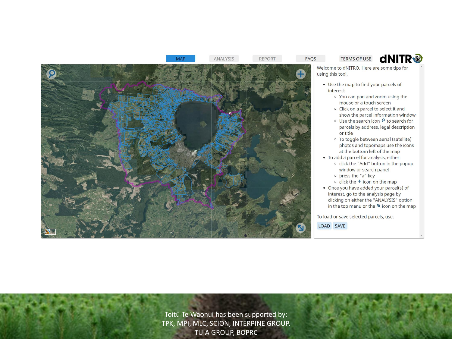

**MAP** 

**REPORT** 

- . Use the map to find your parcels of
	- o You can pan and zoom using the mouse or a touch screen
	- <sup>o</sup> Click on a parcel to select it and show the parcel information window

**dNITR®** 

- Use the search icon ₽ to search for parcels by address, legal description or title
- <sup>o</sup> To toggle between aerial (satellite) photos and topomaps use the icons at the bottom left of the map
- To add a parcel for analysis, either: o click the "Add" button in the popup window or search panel
	- o press the "a" key
	- $\circ$  click the  $+$  icon on the map
- Once you have added your parcel(s) of interest, go to the analysis page by clicking on either the "ANALYSIS" option in the top menu or the " icon on the map

To load or save selected parcels, use: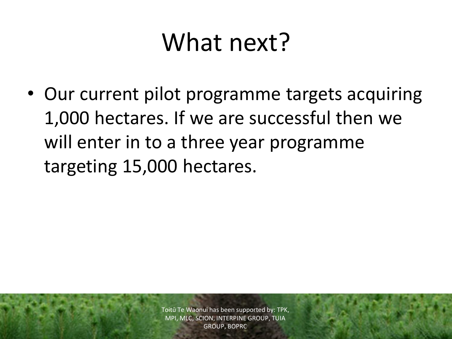### What next?

• Our current pilot programme targets acquiring 1,000 hectares. If we are successful then we will enter in to a three year programme targeting 15,000 hectares.